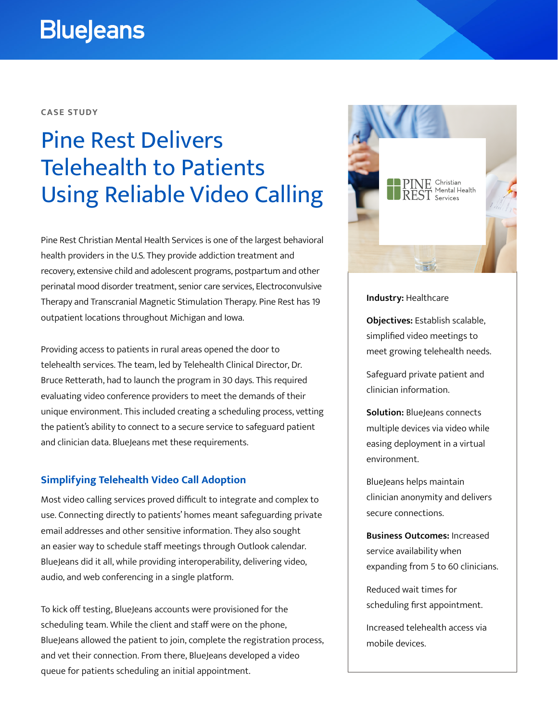# **BlueJeans**

#### **CASE STUDY**

# Pine Rest Delivers Telehealth to Patients Using Reliable Video Calling

Pine Rest Christian Mental Health Services is one of the largest behavioral health providers in the U.S. They provide addiction treatment and recovery, extensive child and adolescent programs, postpartum and other perinatal mood disorder treatment, senior care services, Electroconvulsive Therapy and Transcranial Magnetic Stimulation Therapy. Pine Rest has 19 outpatient locations throughout Michigan and Iowa.

Providing access to patients in rural areas opened the door to telehealth services. The team, led by Telehealth Clinical Director, Dr. Bruce Retterath, had to launch the program in 30 days. This required evaluating video conference providers to meet the demands of their unique environment. This included creating a scheduling process, vetting the patient's ability to connect to a secure service to safeguard patient and clinician data. BlueJeans met these requirements.

### **Simplifying Telehealth Video Call Adoption**

Most video calling services proved difficult to integrate and complex to use. Connecting directly to patients' homes meant safeguarding private email addresses and other sensitive information. They also sought an easier way to schedule staff meetings through Outlook calendar. BlueJeans did it all, while providing interoperability, delivering video, audio, and web conferencing in a single platform.

To kick off testing, BlueJeans accounts were provisioned for the scheduling team. While the client and staff were on the phone, BlueJeans allowed the patient to join, complete the registration process, and vet their connection. From there, BlueJeans developed a video queue for patients scheduling an initial appointment.



#### **Industry:** Healthcare

**Objectives:** Establish scalable, simplified video meetings to meet growing telehealth needs.

Safeguard private patient and clinician information.

**Solution:** BlueJeans connects multiple devices via video while easing deployment in a virtual environment.

BlueJeans helps maintain clinician anonymity and delivers secure connections.

**Business Outcomes:** Increased service availability when expanding from 5 to 60 clinicians.

Reduced wait times for scheduling first appointment.

Increased telehealth access via mobile devices.